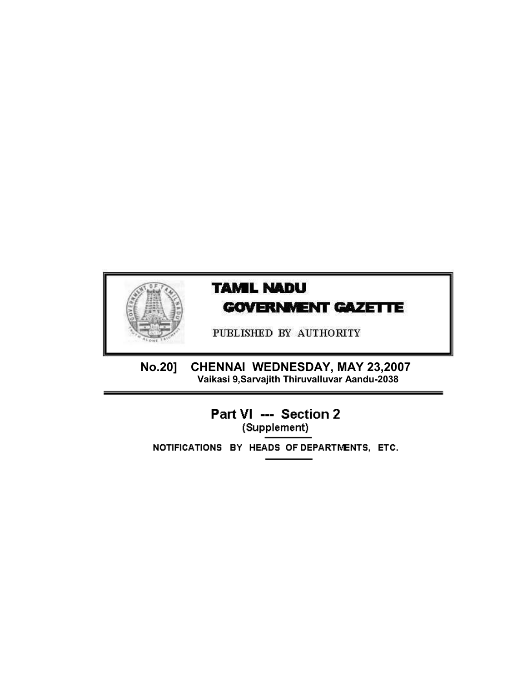

# **TAMIL NADU GOVERNMENT GAZETTE**

PUBLISHED BY AUTHORITY

**No.20]** CHENNAI WEDNESDAY, MAY 23,2007<br>Vaikasi 9,Sarvajith Thiruvalluvar Aandu-2038

> Part VI --- Section 2 (Supplement)

NOTIFICATIONS BY HEADS OF DEPARTMENTS, ETC.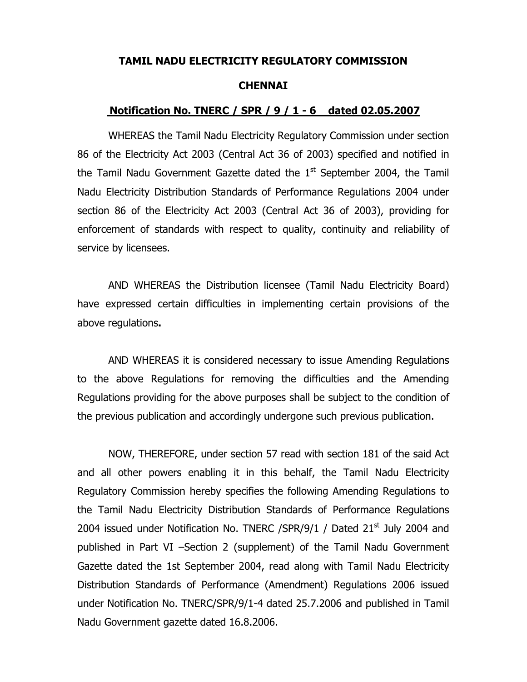#### **TAMIL NADU ELECTRICITY REGULATORY COMMISSION**

#### **CHENNAI**

#### **Notification No. TNERC / SPR / 9 / 1 - 6 dated 02.05.2007**

WHEREAS the Tamil Nadu Electricity Regulatory Commission under section 86 of the Electricity Act 2003 (Central Act 36 of 2003) specified and notified in the Tamil Nadu Government Gazette dated the  $1<sup>st</sup>$  September 2004, the Tamil Nadu Electricity Distribution Standards of Performance Regulations 2004 under section 86 of the Electricity Act 2003 (Central Act 36 of 2003), providing for enforcement of standards with respect to quality, continuity and reliability of service by licensees.

AND WHEREAS the Distribution licensee (Tamil Nadu Electricity Board) have expressed certain difficulties in implementing certain provisions of the above regulations**.**

AND WHEREAS it is considered necessary to issue Amending Regulations to the above Regulations for removing the difficulties and the Amending Regulations providing for the above purposes shall be subject to the condition of the previous publication and accordingly undergone such previous publication.

NOW, THEREFORE, under section 57 read with section 181 of the said Act and all other powers enabling it in this behalf, the Tamil Nadu Electricity Regulatory Commission hereby specifies the following Amending Regulations to the Tamil Nadu Electricity Distribution Standards of Performance Regulations 2004 issued under Notification No. TNERC /SPR/9/1 / Dated  $21<sup>st</sup>$  July 2004 and published in Part VI –Section 2 (supplement) of the Tamil Nadu Government Gazette dated the 1st September 2004, read along with Tamil Nadu Electricity Distribution Standards of Performance (Amendment) Regulations 2006 issued under Notification No. TNERC/SPR/9/1-4 dated 25.7.2006 and published in Tamil Nadu Government gazette dated 16.8.2006.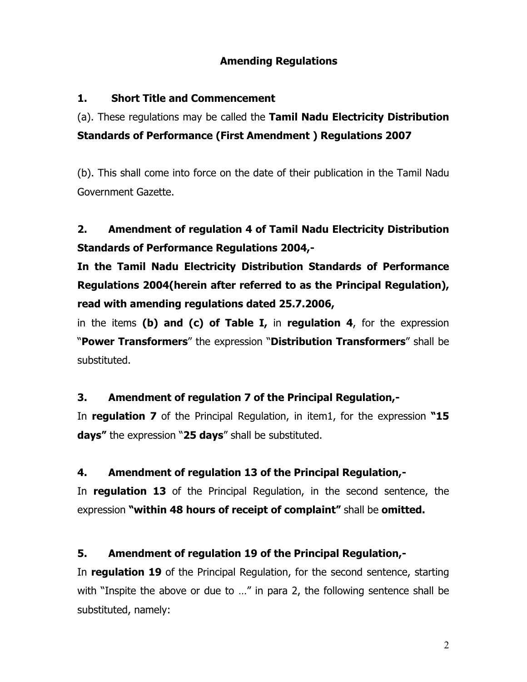#### **Amending Regulations**

#### **1. Short Title and Commencement**

(a). These regulations may be called the **Tamil Nadu Electricity Distribution Standards of Performance (First Amendment ) Regulations 2007** 

(b). This shall come into force on the date of their publication in the Tamil Nadu Government Gazette.

## **2. Amendment of regulation 4 of Tamil Nadu Electricity Distribution Standards of Performance Regulations 2004,-**

**In the Tamil Nadu Electricity Distribution Standards of Performance Regulations 2004(herein after referred to as the Principal Regulation), read with amending regulations dated 25.7.2006,** 

in the items **(b) and (c) of Table I,** in **regulation 4**, for the expression "**Power Transformers**" the expression "**Distribution Transformers**" shall be substituted.

## **3. Amendment of regulation 7 of the Principal Regulation,-**

In **regulation 7** of the Principal Regulation, in item1, for the expression **"15 days"** the expression "**25 days**" shall be substituted.

## **4. Amendment of regulation 13 of the Principal Regulation,-**

In **regulation 13** of the Principal Regulation, in the second sentence, the expression **"within 48 hours of receipt of complaint"** shall be **omitted.** 

## **5. Amendment of regulation 19 of the Principal Regulation,-**

In **regulation 19** of the Principal Regulation, for the second sentence, starting with "Inspite the above or due to ..." in para 2, the following sentence shall be substituted, namely: